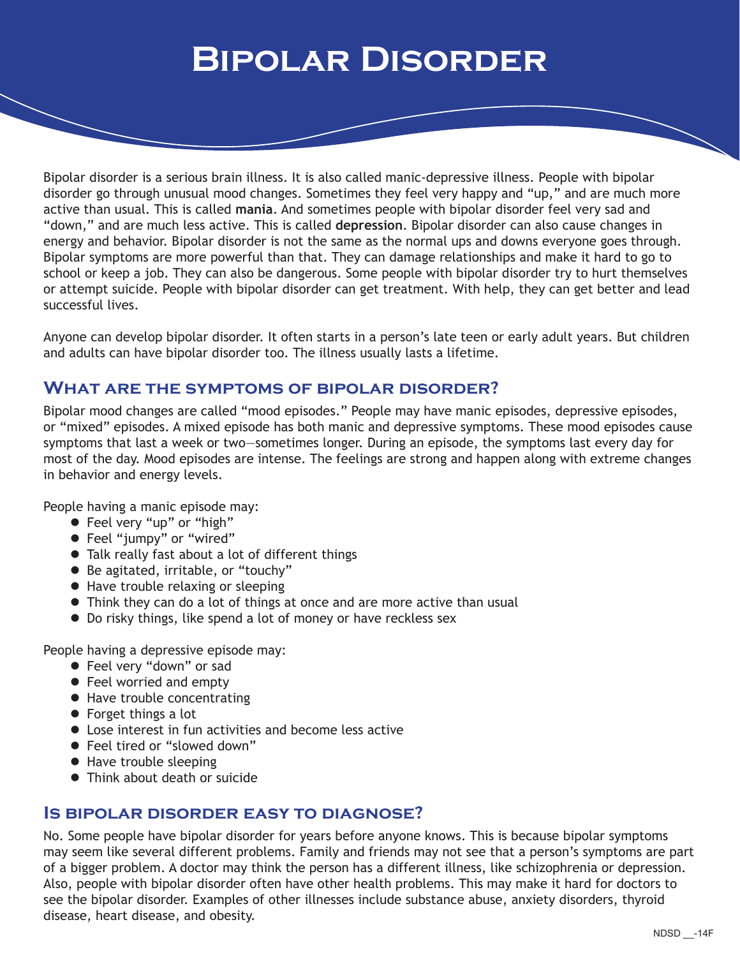# **Bipolar Disorder**

Bipolar disorder is a serious brain illness. It is also called manic-depressive illness. People with bipolar disorder go through unusual mood changes. Sometimes they feel very happy and "up," and are much more active than usual. This is called **mania**. And sometimes people with bipolar disorder feel very sad and "down," and are much less active. This is called **depression**. Bipolar disorder can also cause changes in energy and behavior. Bipolar disorder is not the same as the normal ups and downs everyone goes through. Bipolar symptoms are more powerful than that. They can damage relationships and make it hard to go to school or keep a job. They can also be dangerous. Some people with bipolar disorder try to hurt themselves or attempt suicide. People with bipolar disorder can get treatment. With help, they can get better and lead successful lives.

Anyone can develop bipolar disorder. It often starts in a person's late teen or early adult years. But children and adults can have bipolar disorder too. The illness usually lasts a lifetime.

#### **What are the symptoms of bipolar disorder?**

Bipolar mood changes are called "mood episodes." People may have manic episodes, depressive episodes, or "mixed" episodes. A mixed episode has both manic and depressive symptoms. These mood episodes cause symptoms that last a week or two—sometimes longer. During an episode, the symptoms last every day for most of the day. Mood episodes are intense. The feelings are strong and happen along with extreme changes in behavior and energy levels.

People having a manic episode may:

- **•** Feel very "up" or "high"
- Feel "jumpy" or "wired"
- **Talk really fast about a lot of different things**
- Be agitated, irritable, or "touchy"
- Have trouble relaxing or sleeping
- Think they can do a lot of things at once and are more active than usual
- Do risky things, like spend a lot of money or have reckless sex

People having a depressive episode may:

- **•** Feel very "down" or sad
- Feel worried and empty
- Have trouble concentrating
- Forget things a lot
- Lose interest in fun activities and become less active
- Feel tired or "slowed down"
- Have trouble sleeping
- Think about death or suicide

## **Is bipolar disorder easy to diagnose?**

No. Some people have bipolar disorder for years before anyone knows. This is because bipolar symptoms may seem like several different problems. Family and friends may not see that a person's symptoms are part of a bigger problem. A doctor may think the person has a different illness, like schizophrenia or depression. Also, people with bipolar disorder often have other health problems. This may make it hard for doctors to see the bipolar disorder. Examples of other illnesses include substance abuse, anxiety disorders, thyroid disease, heart disease, and obesity.